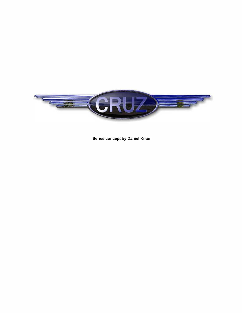

**Series concept by Daniel Knauf**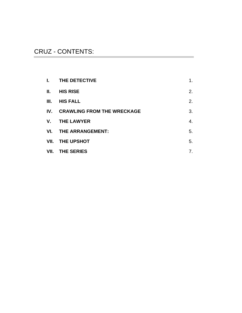# CRUZ - CONTENTS:

| L.       | THE DETECTIVE                     | 1. |
|----------|-----------------------------------|----|
| Ш.       | <b>HIS RISE</b>                   | 2. |
| Ш.       | <b>HIS FALL</b>                   | 2. |
| $IV_{-}$ | <b>CRAWLING FROM THE WRECKAGE</b> | 3. |
| V.       | <b>THE LAWYER</b>                 | 4. |
| VL.      | THE ARRANGEMENT:                  | 5. |
| VII.     | THE UPSHOT                        | 5. |
| VII.     | <b>THE SERIES</b>                 | 7. |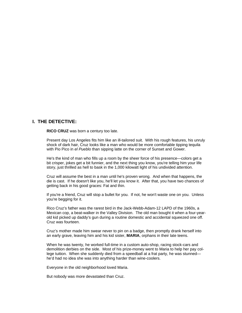#### **I. THE DETECTIVE:**

**RICO CRUZ** was born a century too late.

Present day Los Angeles fits him like an ill-tailored suit. With his rough features, his unruly shock of dark hair, Cruz looks like a man who would be more comfortable tipping tequila with Pio Pico in *el Pueblo* than sipping latte on the corner of Sunset and Gower.

He's the kind of man who fills up a room by the sheer force of his presence—colors get a bit crisper, jokes get a bit funnier, and the next thing you know, you're telling him your life story, just thrilled as hell to bask in the 1,000 kilowatt light of his undivided attention.

Cruz will assume the best in a man until he's proven wrong. And when that happens, the die is cast. If he doesn't like you, he'll let you know it. After that, you have two chances of getting back in his good graces: Fat and thin.

If you're a friend, Cruz will stop a bullet for you. If not, he won't waste one on you. Unless you're begging for it.

Rico Cruz's father was the rarest bird in the Jack-Webb-Adam-12 LAPD of the 1960s, a Mexican cop, a beat-walker in the Valley Division. The old man bought it when a four-yearold kid picked up daddy's gun during a routine domestic and accidental squeezed one off. Cruz was fourteen.

Cruz's mother made him swear never to pin on a badge, then promptly drank herself into an early grave, leaving him and his kid sister, **MARIA**, orphans in their late teens.

When he was twenty, he worked full-time in a custom auto-shop, racing stock-cars and demolition derbies on the side. Most of his prize-money went to Maria to help her pay college tuition. When she suddenly died from a speedball at a frat party, he was stunned he'd had no idea she was into anything harder than wine-coolers.

Everyone in the old neighborhood loved Maria.

But nobody was more devastated than Cruz.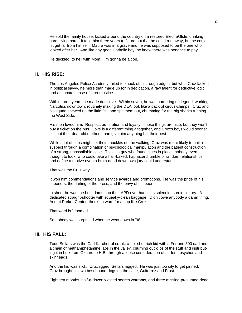He sold the family house, kicked around the country on a restored ElectraGlide, drinking hard, living hard. It took him three years to figure out that he could run away, but he couldn't get far from himself. Maura was in a grave and he was supposed to be the one who looked after her. And like any good Catholic boy, he knew there was penance to pay.

He decided, to hell with Mom. I'm gonna be a cop.

#### **II. HIS RISE:**

The Los Angeles Police Academy failed to knock off his rough edges, but what Cruz lacked in political savvy, he more than made up for in dedication, a raw talent for deductive logic and an innate sense of street-justice.

Within three years, he made detective. Within seven, he was bordering on legend, working Narcotics downtown, routinely making the DEA look like a pack of circus-chimps. Cruz and his squad chewed up the little fish and spit them out, chumming for the big sharks running the West Side.

His men loved him. Respect, admiration and loyalty—those things are nice, but they won't buy a ticket on the bus. Love is a different thing altogether, and Cruz's boys would sooner sell out their dear old mothers than give him anything but their best.

While a lot of cops might let their knuckles do the walking, Cruz was more likely to nail a suspect through a combination of psychological manipulation and the patient construction of a strong, unassailable case. This is a guy who found clues in places nobody even thought to look, who could take a half-baked, haphazard jumble of random relationships, and define a motive even a brain-dead downtown jury could understand.

That was the Cruz way.

It won him commendations and service awards and promotions. He was the pride of his superiors, the darling of the press, and the envy of his peers.

In short, he was the best damn cop the LAPD ever had in its splendid, sordid history. A dedicated straight-shooter with squeaky-clean baggage. Didn't owe anybody a damn thing. And at Parker Center, there's a word for a cop like Cruz.

That word is "doomed."

So nobody was surprised when he went down in '98.

#### **III. HIS FALL:**

Todd Sellars was the Carl Karcher of crank, a hot-shot rich kid with a Fortune 500 dad and a chain of methamphetamine labs in the valley, churning out kilos of the stuff and distributing it in bulk from Oxnard to H.B. through a loose confederation of surfers, psychos and skinheads.

And the kid was slick. Cruz jigged, Sellars jagged. He was just too oily to get pinned. Cruz brought his two best hound-dogs on the case, Guiterrez and Frost.

Eighteen months, half-a-dozen wasted search warrants, and three missing-presumed-dead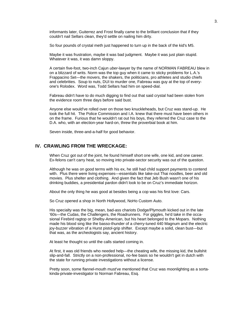informants later, Guiterrez and Frost finally came to the brilliant conclusion that if they couldn't nail Sellars clean, they'd settle on nailing him dirty.

So four pounds of crystal meth just happened to turn up in the back of the kid's M5.

Maybe it was frustration, maybe it was bad judgment. Maybe it was just plain stupid. Whatever it was, it was damn sloppy.

A certain five-foot, two-inch Cajun *uber*-lawyer by the name of NORMAN FABREAU blew in on a blizzard of writs. Norm was the top guy when it came to sticky problems for L.A.'s Frappacino Set—the movers, the shakers, the politicians, pro athletes and studio chiefs and celebrities. Soup to nuts, DUI to murder one, Fabreau was guy at the top of everyone's Rolodex. Word was, Todd Sellars had him on speed-dial.

Fabreau didn't have to do much digging to find out that said crystal had been stolen from the evidence room three days before said bust.

Anyone else would've rolled over on those two knuckleheads, but Cruz was stand-up. He took the full hit. The Police Commission and I.A. knew that there must have been others in on the frame. Furious that he wouldn't rat out his boys, they referred the Cruz case to the D.A. who, with an election-year hard-on, threw the proverbial book at him.

Seven inside, three-and-a-half for good behavior.

## **IV. CRAWLING FROM THE WRECKAGE:**

When Cruz got out of the joint, he found himself short one wife, one kid, and one career. Ex-felons can't carry heat, so moving into private-sector security was out of the question.

Although he was on good terms with his ex, he still had child support payments to contend with. Plus there were living expenses—essentials like take-out Thai noodles, beer and old movies. Plus shelter and clothing. And given the fact that Jeb Bush wasn't one of his drinking buddies, a presidential pardon didn't look to be on Cruz's immediate horizon.

About the only thing he was good at besides being a cop was his first love: Cars.

So Cruz opened a shop in North Hollywood, NoHo Custom Auto.

His specialty was the big, mean, bad-ass chariots Dodge/Plymouth kicked out in the late '60s—the Cudas, the Challengers, the Roadrunners. For giggles, he'd take in the occasional Firebird ragtop or Shelby-American, but his heart belonged to the Mopars. Nothing made his blood sing like the basso-thunder of a cherry-tuned 440 Magnum and the electric joy-buzzer vibration of a Hurst pistol-grip shifter. Except maybe a solid, clean bust—but that was, as the archeologists say, ancient history.

At least he thought so until the calls started coming in.

At first, it was old friends who needed help—the cheating wife, the missing kid, the bullshit slip-and-fall. Strictly on a non-professional, no-fee basis so he wouldn't get in dutch with the state for running private investigations without a license.

Pretty soon, some flannel-mouth must've mentioned that Cruz was moonlighting as a sortakinda-private-investigator to Norman Fabreau, Esq.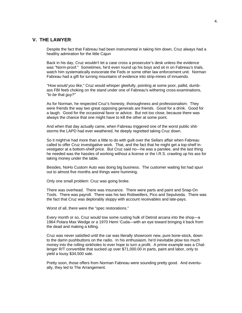## **V. THE LAWYER**:

Despite the fact that Fabreau had been instrumental in taking him down, Cruz always had a healthy admiration for the little Cajun

Back in his day, Cruz wouldn't let a case cross a prosecutor's desk unless the evidence was "Norm-proof." Sometimes, he'd even round up his boys and sit in on Fabreau's trials, watch him systematically eviscerate the Feds or some other law enforcement unit. Norman Fabreau had a gift for turning mountains of evidence into strip-mines of innuendo.

*"How would you like,*" Cruz would whisper gleefully, pointing at some poor, pallid, dumbass FBI feeb choking on the stand under one of Fabreau's withering cross-examinations, *"to be* that *guy?"*

As for Norman, he respected Cruz's honesty, thoroughness and professionalism. They were friends the way two great opposing generals are friends. Good for a drink. Good for a laugh. Good for the occasional favor or advice. But not too close, because there was always the chance that one might have to kill the other at some point.

And when that day actually came, when Fabreau triggered one of the worst public shitstorms the LAPD had ever weathered, he deeply regretted taking Cruz down.

So it might've had more than a little to do with guilt over the Sellars affair when Fabreau called to offer Cruz investigative work. That, and the fact that he might get a top-shelf investigator at a bottom-shelf price. But Cruz said no—he was a parolee, and the last thing he needed was the hassles of working without a license or the I.R.S. crawling up his ass for taking money under the table.

Besides, NoHo Custom Auto was doing big business. The customer waiting list had spun out to almost five months and things were humming.

Only one small problem: Cruz was going broke.

There was overhead. There was insurance. There were parts and paint and Snap-On Tools. There was payroll. There was his two Rottweillers, Pico and Sepulveda. There was the fact that Cruz was deplorably sloppy with account receivables and late-pays.

Worst of all, there were the "spec restorations."

Every month or so, Cruz would tow some rusting hulk of Detroit arcana into the shop—a 1964 Polara Max Wedge or a 1970 Hemi 'Cuda—with an eye toward bringing it back from the dead and making a killing.

Cruz was never satisfied until the car was literally showroom new, pure bone-stock, down to the damn pushbuttons on the radio. In his enthusiasm, he'd inevitable plow too much money into the rolling sinkholes to ever hope to turn a profit. A prime example was a Challenger R/T convertible that sucked up over \$71,000.00 in parts, paint and labor, only to yield a lousy \$34,500 sale.

Pretty soon, those offers from Norman Fabreau were sounding pretty good. And eventually, they led to The Arrangement.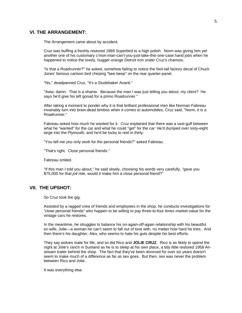#### **VI. THE ARRANGEMENT:**

The Arrangement came about by accident.

Cruz was buffing a freshly restored 1969 Superbird to a high polish. Norm was giving him yet another one of his customary c'mon-man-can't-you-just-take-this-one-case hand jobs when he happened to notice the lovely, hugger-orange Detroit iron under Cruz's chamois.

"Is that a Roadrunner?" he asked, somehow failing to notice the foot-tall factory decal of Chuck Jones' famous cartoon bird chirping "bee-beep" on the rear quarter-panel.

"No," deadpanned Cruz, "it's a Studebaker Avanti."

"Aww, damn. That *is* a shame. Because the man I was just telling you about, my client? He says he'd give his left gonad for a primo Roadrunner."

After taking a moment to ponder why it is that brilliant professional men like Norman Fabreau invariably turn into brain-dead bimbos when it comes to automobiles, Cruz said, "Norm, it is a Roadrunner."

Fabreau asked how much he wanted for it. Cruz explained that there was a vast gulf between what he "wanted" for the car and what he could "get" for the car: He'd dumped over sixty-eight large into the Plymouth, and he'd be lucky to reel in thirty.

"You tell me you only work for the personal friends?" asked Fabreau.

"That's right. Close personal friends."

Fabreau smiled.

"If this man I told you about," he said slowly, choosing his words very carefully, "gave you \$75,000 for that *joli* ride, would it make him a close personal friend?"

#### **VII. THE UPSHOT:**

So Cruz took the gig.

Assisted by a ragged crew of friends and employees in the shop, he conducts investigations for "close personal friends" who happen to be willing to pay three-to-four times market-value for the vintage cars he restores.

In the meantime, he struggles to balance his on-again-off-again relationship with his beautiful ex-wife, Jolie—a woman he can't seem to fall out of love with, no matter how hard he tries. And then there's his daughter, Alex, who seems to hate his guts despite his best efforts.

They say wolves mate for life, and so did Rico and **JOLIE CRUZ**. Rico is as likely to spend the night at Jolie's ranch in Sunland as he is to sleep at his own place, a tidy little restored 1958 Airstream trailer behind the shop. The fact that they've been divorced for over six years doesn't seem to make much of a difference as far as sex goes. But then, sex was never the problem between Rico and Jolie.

It was everything else.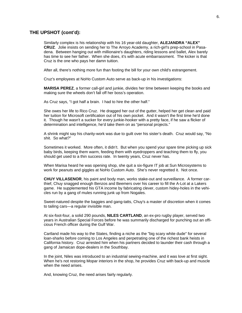#### **THE UPSHOT (cont'd):**

Similarly complex is his relationship with his 16 year-old daughter, **ALEJANDRA "ALEX" CRUZ**. Jolie insists on sending her to The Arroyo Academy, a rich-girl's prep-school in Pasadena. Between hanging out with millionaire's daughters, riding lessons and ballet, Alex barely has time to see her father. When she does, it's with acute embarrassment. The kicker is that Cruz is the one who pays her damn tuition.

After all, there's nothing more fun than footing the bill for your own child's estrangement.

Cruz's employees at NoHo Custom Auto serve as back-up in his investigations:

**MARISA PEREZ**, a former call-girl and junkie, divides her time between keeping the books and making sure the wheels don't fall off her boss's operation.

As Cruz says, "I got half a brain. I had to hire the other half."

She owes her life to Rico Cruz. He dragged her out of the gutter, helped her get clean and paid her tuition for Microsoft certification out of his own pocket. And it wasn't the first time he'd done it. Though he wasn't a sucker for every junkie-hooker with a pretty face, if he saw a flicker of determination and intelligence, he'd take them on as "personal projects."

A shrink might say his charity-work was due to guilt over his sister's death. Cruz would say, "No shit. So what?"

Sometimes it worked. More often, it didn't. But when you spend your spare time picking up sick baby birds, keeping them warm, feeding them with eyedroppers and teaching them to fly, you should get used to a thin success rate. In twenty years, Cruz never has.

When Marisa heard he was opening shop, she quit a six-figure IT job at Sun Microsystems to work for peanuts and giggles at NoHo Custom Auto. She's never regretted it. Not once.

**CHUY VILLASENOR**, his paint and body man, works stake-out and surveillance. A former carthief, Chuy snagged enough Benzos and Beemers over his career to fill the A-Lot at a Lakers game. He supplemented his GTA income by fabricating clever, custom hidey-holes in the vehicles run by a gang of mules running junk up from Nogales.

Sweet-natured despite the baggies and gang-tatts, Chuy's a master of discretion when it comes to tailing cars—a regular invisible man.

At six-foot-four, a solid 290 pounds, **NILES CARTLAND**, an ex-pro rugby player, served two years in Australian Special Forces before he was summarily discharged for punching out an officious French officer during the Gulf War.

Cartland made his way to the States, finding a niche as the "big scary white dude" for several loan-sharks before coming to Los Angeles and perpetrating one of the richest bank heists in California history. Cruz arrested him when his partners decided to launder their cash through a gang of Jamaican dope-dealers in the Southbay.

In the joint, Niles was introduced to an industrial sewing-machine, and it was love at first sight. When he's not restoring Mopar interiors in the shop, he provides Cruz with back-up and muscle when the need arises.

And, knowing Cruz, the need arises fairly regularly.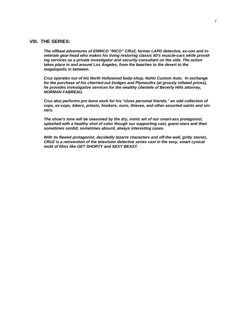#### **VIII. THE SERIES:**

*The offbeat adventures of ENRICO "RICO" CRUZ, former LAPD detective, ex-con and inveterate gear-head who makes his living restoring classic 60's muscle-cars while providing services as a private investigator and security consultant on the side. The action takes place in and around Los Angeles, from the beaches to the desert to the megalopolis in between.* 

*Cruz operates out of his North Hollywood body-shop, NoHo Custom Auto. In exchange for the purchase of his cherried-out Dodges and Plymouths (at grossly inflated prices), he provides investigative services for the wealthy clientele of Beverly Hills attorney, NORMAN FABREAU.* 

*Cruz also performs pro bono work for his "close personal friends," an odd collection of cops, ex-cops, bikers, priests, hookers, nuns, thieves, and other assorted saints and sinners.* 

*The show's tone will be seasoned by the dry, ironic wit of our smart-ass protagonist, splashed with a healthy shot of color though our supporting cast, guest-stars and their sometimes sordid, sometimes absurd, always interesting cases.* 

*With its flawed protagonist, decidedly bizarre characters and off-the-wall, gritty stories, CRUZ is a reinvention of the television detective series cast in the sexy, smart cynical mold of films like GET SHORTY and SEXY BEAST.*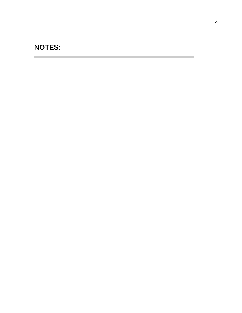# **NOTES**:

**Contract Contract** 

**Contract Contract**